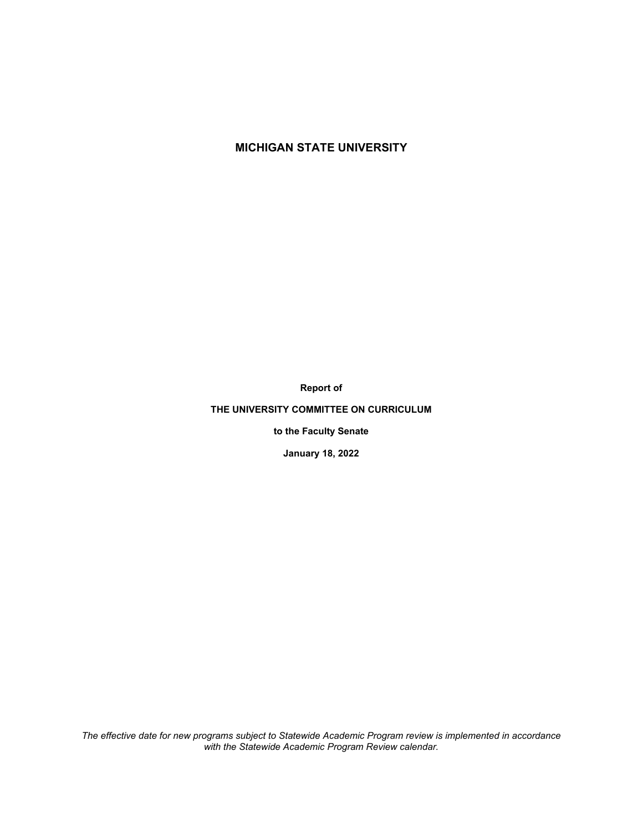# **MICHIGAN STATE UNIVERSITY**

**Report of** 

### **THE UNIVERSITY COMMITTEE ON CURRICULUM**

**to the Faculty Senate** 

**January 18, 2022** 

*The effective date for new programs subject to Statewide Academic Program review is implemented in accordance with the Statewide Academic Program Review calendar.*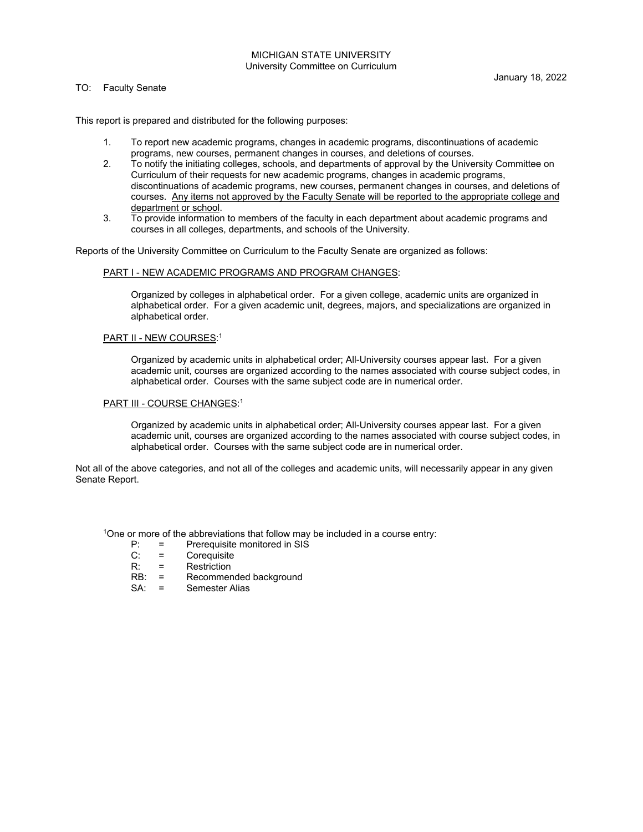#### MICHIGAN STATE UNIVERSITY University Committee on Curriculum

#### TO: Faculty Senate

This report is prepared and distributed for the following purposes:

- 1. To report new academic programs, changes in academic programs, discontinuations of academic programs, new courses, permanent changes in courses, and deletions of courses.
- 2. To notify the initiating colleges, schools, and departments of approval by the University Committee on Curriculum of their requests for new academic programs, changes in academic programs, discontinuations of academic programs, new courses, permanent changes in courses, and deletions of courses. Any items not approved by the Faculty Senate will be reported to the appropriate college and department or school.
- 3. To provide information to members of the faculty in each department about academic programs and courses in all colleges, departments, and schools of the University.

Reports of the University Committee on Curriculum to the Faculty Senate are organized as follows:

### PART I - NEW ACADEMIC PROGRAMS AND PROGRAM CHANGES:

 Organized by colleges in alphabetical order. For a given college, academic units are organized in alphabetical order. For a given academic unit, degrees, majors, and specializations are organized in alphabetical order.

#### PART II - NEW COURSES:<sup>1</sup>

 Organized by academic units in alphabetical order; All-University courses appear last. For a given academic unit, courses are organized according to the names associated with course subject codes, in alphabetical order. Courses with the same subject code are in numerical order.

#### PART III - COURSE CHANGES:<sup>1</sup>

 Organized by academic units in alphabetical order; All-University courses appear last. For a given academic unit, courses are organized according to the names associated with course subject codes, in alphabetical order. Courses with the same subject code are in numerical order.

Not all of the above categories, and not all of the colleges and academic units, will necessarily appear in any given Senate Report.

<sup>1</sup>One or more of the abbreviations that follow may be included in a course entry:

- $P: =$  Prerequisite monitored in SIS<br>C:  $=$  Corequisite
- C: = Corequisite<br>R: = Restriction
- 
- R: = Restriction<br>RB: = Recommer RB: = Recommended background<br>SA: = Semester Alias
- Semester Alias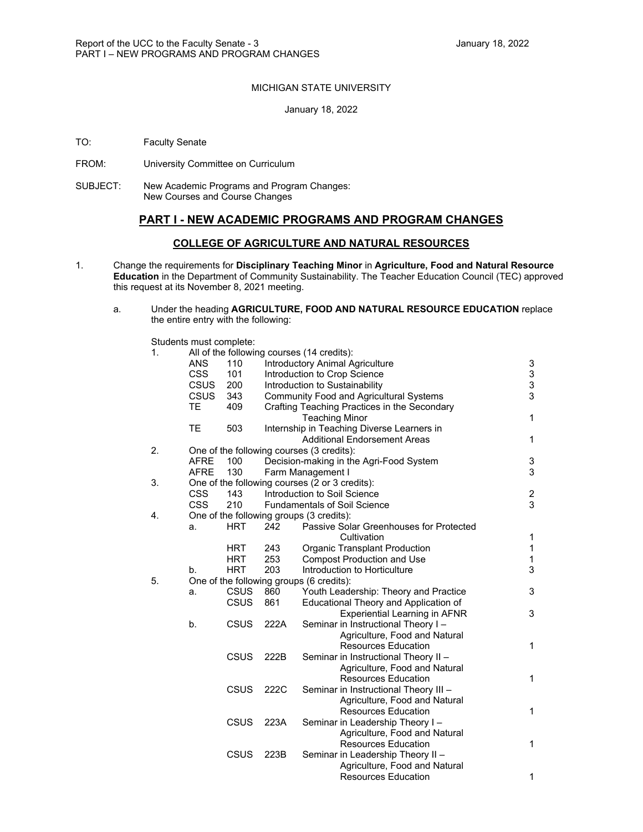### MICHIGAN STATE UNIVERSITY

#### January 18, 2022

- TO: Faculty Senate
- FROM: University Committee on Curriculum
- SUBJECT: New Academic Programs and Program Changes: New Courses and Course Changes

### **PART I - NEW ACADEMIC PROGRAMS AND PROGRAM CHANGES**

#### **COLLEGE OF AGRICULTURE AND NATURAL RESOURCES**

- 1. Change the requirements for **Disciplinary Teaching Minor** in **Agriculture, Food and Natural Resource Education** in the Department of Community Sustainability. The Teacher Education Council (TEC) approved this request at its November 8, 2021 meeting.
	- a. Under the heading **AGRICULTURE, FOOD AND NATURAL RESOURCE EDUCATION** replace the entire entry with the following:

Students must complete:

| 1. |             |             |      | All of the following courses (14 credits):     |                                            |
|----|-------------|-------------|------|------------------------------------------------|--------------------------------------------|
|    | <b>ANS</b>  | 110         |      | Introductory Animal Agriculture                | 3                                          |
|    | <b>CSS</b>  | 101         |      | Introduction to Crop Science                   |                                            |
|    | <b>CSUS</b> | 200         |      | Introduction to Sustainability                 | $\begin{array}{c} 3 \\ 3 \\ 3 \end{array}$ |
|    | <b>CSUS</b> | 343         |      | <b>Community Food and Agricultural Systems</b> |                                            |
|    | <b>TE</b>   | 409         |      | Crafting Teaching Practices in the Secondary   |                                            |
|    |             |             |      | <b>Teaching Minor</b>                          | $\mathbf{1}$                               |
|    | <b>TE</b>   | 503         |      | Internship in Teaching Diverse Learners in     |                                            |
|    |             |             |      | <b>Additional Endorsement Areas</b>            | $\mathbf{1}$                               |
| 2. |             |             |      | One of the following courses (3 credits):      |                                            |
|    | <b>AFRE</b> | 100         |      | Decision-making in the Agri-Food System        | 3                                          |
|    | <b>AFRE</b> | 130         |      | Farm Management I                              | 3                                          |
| 3. |             |             |      | One of the following courses (2 or 3 credits): |                                            |
|    | CSS         | 143         |      | Introduction to Soil Science                   | $\frac{2}{3}$                              |
|    | <b>CSS</b>  | 210         |      | <b>Fundamentals of Soil Science</b>            |                                            |
| 4. |             |             |      | One of the following groups (3 credits):       |                                            |
|    | a.          | <b>HRT</b>  | 242  | Passive Solar Greenhouses for Protected        |                                            |
|    |             |             |      | Cultivation                                    | 1                                          |
|    |             | HRT         | 243  | Organic Transplant Production                  | $\mathbf{1}$                               |
|    |             | HRT         | 253  | <b>Compost Production and Use</b>              | 1                                          |
|    | b.          | <b>HRT</b>  | 203  | Introduction to Horticulture                   | 3                                          |
| 5. |             |             |      | One of the following groups (6 credits):       |                                            |
|    | a.          | <b>CSUS</b> | 860  | Youth Leadership: Theory and Practice          | 3                                          |
|    |             | <b>CSUS</b> | 861  | Educational Theory and Application of          |                                            |
|    |             |             |      | <b>Experiential Learning in AFNR</b>           | 3                                          |
|    | b.          | CSUS        | 222A | Seminar in Instructional Theory I-             |                                            |
|    |             |             |      | Agriculture, Food and Natural                  |                                            |
|    |             |             |      | <b>Resources Education</b>                     | $\mathbf{1}$                               |
|    |             | CSUS        | 222B | Seminar in Instructional Theory II -           |                                            |
|    |             |             |      | Agriculture, Food and Natural                  |                                            |
|    |             |             |      | <b>Resources Education</b>                     | 1                                          |
|    |             | <b>CSUS</b> | 222C | Seminar in Instructional Theory III -          |                                            |
|    |             |             |      | Agriculture, Food and Natural                  |                                            |
|    |             |             |      | <b>Resources Education</b>                     | $\mathbf{1}$                               |
|    |             | <b>CSUS</b> | 223A | Seminar in Leadership Theory I-                |                                            |
|    |             |             |      | Agriculture, Food and Natural                  |                                            |
|    |             |             |      | <b>Resources Education</b>                     | $\mathbf{1}$                               |
|    |             | CSUS        | 223B | Seminar in Leadership Theory II -              |                                            |
|    |             |             |      | Agriculture, Food and Natural                  |                                            |
|    |             |             |      | <b>Resources Education</b>                     | $\mathbf{1}$                               |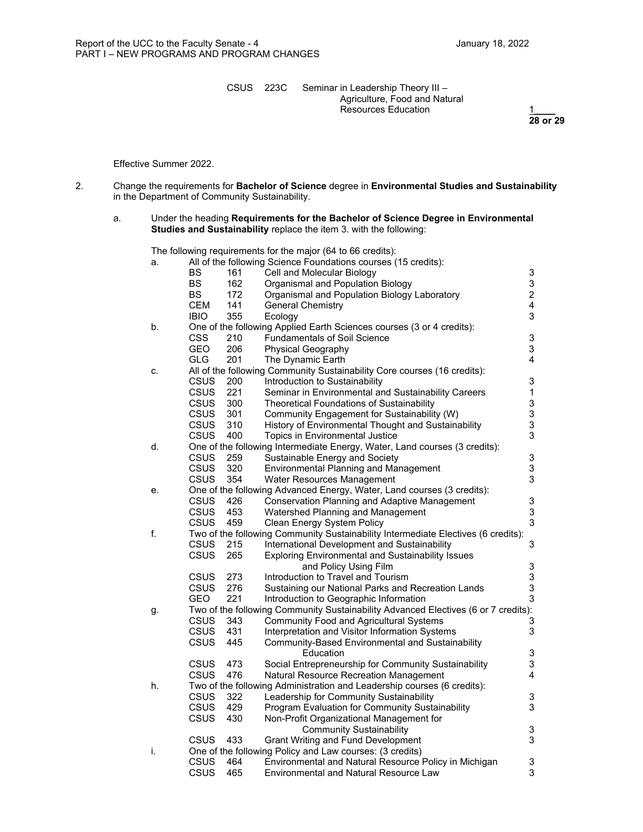CSUS 223C Seminar in Leadership Theory III – Agriculture, Food and Natural Resources Education  $\frac{1}{28}$  or 29

**28 or 29** 

Effective Summer 2022.

- 2. Change the requirements for **Bachelor of Science** degree in **Environmental Studies and Sustainability** in the Department of Community Sustainability.
	- a. Under the heading **Requirements for the Bachelor of Science Degree in Environmental Studies and Sustainability** replace the item 3. with the following:

The following requirements for the major (64 to 66 credits):

| a. |             |     | All of the following Science Foundations courses (15 credits):                     |                           |
|----|-------------|-----|------------------------------------------------------------------------------------|---------------------------|
|    | BS          | 161 | Cell and Molecular Biology                                                         | 3                         |
|    | <b>BS</b>   | 162 | Organismal and Population Biology                                                  | $\mathbf{3}$              |
|    | <b>BS</b>   | 172 | Organismal and Population Biology Laboratory                                       | $\overline{a}$            |
|    | <b>CEM</b>  | 141 | <b>General Chemistry</b>                                                           | $\overline{\mathbf{4}}$   |
|    | <b>IBIO</b> | 355 | Ecology                                                                            | 3                         |
| b. |             |     | One of the following Applied Earth Sciences courses (3 or 4 credits):              |                           |
|    | <b>CSS</b>  | 210 | <b>Fundamentals of Soil Science</b>                                                | $\ensuremath{\mathsf{3}}$ |
|    | GEO         | 206 | Physical Geography                                                                 | 3                         |
|    | <b>GLG</b>  | 201 | The Dynamic Earth                                                                  | $\overline{\mathbf{4}}$   |
| C. |             |     | All of the following Community Sustainability Core courses (16 credits):           |                           |
|    | <b>CSUS</b> | 200 |                                                                                    | 3                         |
|    | <b>CSUS</b> |     | Introduction to Sustainability                                                     |                           |
|    |             | 221 | Seminar in Environmental and Sustainability Careers                                | $\mathbf{1}$              |
|    | <b>CSUS</b> | 300 | Theoretical Foundations of Sustainability                                          | $\ensuremath{\mathsf{3}}$ |
|    | <b>CSUS</b> | 301 | Community Engagement for Sustainability (W)                                        | 3                         |
|    | <b>CSUS</b> | 310 | History of Environmental Thought and Sustainability                                | 3                         |
|    | <b>CSUS</b> | 400 | Topics in Environmental Justice                                                    | 3                         |
| d. |             |     | One of the following Intermediate Energy, Water, Land courses (3 credits):         |                           |
|    | <b>CSUS</b> | 259 | Sustainable Energy and Society                                                     | $\ensuremath{\mathsf{3}}$ |
|    | <b>CSUS</b> | 320 | <b>Environmental Planning and Management</b>                                       | 3                         |
|    | <b>CSUS</b> | 354 | Water Resources Management                                                         | 3                         |
| е. |             |     | One of the following Advanced Energy, Water, Land courses (3 credits):             |                           |
|    | <b>CSUS</b> | 426 | <b>Conservation Planning and Adaptive Management</b>                               | 3                         |
|    | <b>CSUS</b> | 453 | Watershed Planning and Management                                                  | 3                         |
|    | <b>CSUS</b> | 459 | Clean Energy System Policy                                                         | 3                         |
| f. |             |     | Two of the following Community Sustainability Intermediate Electives (6 credits):  |                           |
|    | <b>CSUS</b> | 215 | International Development and Sustainability                                       | 3                         |
|    | <b>CSUS</b> | 265 | <b>Exploring Environmental and Sustainability Issues</b>                           |                           |
|    |             |     | and Policy Using Film                                                              | $\ensuremath{\mathsf{3}}$ |
|    | <b>CSUS</b> | 273 | Introduction to Travel and Tourism                                                 | $\mathsf 3$               |
|    | <b>CSUS</b> | 276 | Sustaining our National Parks and Recreation Lands                                 | 3                         |
|    | <b>GEO</b>  | 221 | Introduction to Geographic Information                                             | 3                         |
| g. |             |     | Two of the following Community Sustainability Advanced Electives (6 or 7 credits): |                           |
|    | <b>CSUS</b> | 343 | <b>Community Food and Agricultural Systems</b>                                     | 3                         |
|    | <b>CSUS</b> | 431 | Interpretation and Visitor Information Systems                                     | 3                         |
|    | <b>CSUS</b> | 445 | Community-Based Environmental and Sustainability                                   |                           |
|    |             |     | Education                                                                          | 3                         |
|    | <b>CSUS</b> | 473 | Social Entrepreneurship for Community Sustainability                               | 3                         |
|    | <b>CSUS</b> | 476 | Natural Resource Recreation Management                                             | 4                         |
| h. |             |     | Two of the following Administration and Leadership courses (6 credits):            |                           |
|    | <b>CSUS</b> | 322 | Leadership for Community Sustainability                                            | 3                         |
|    | <b>CSUS</b> | 429 | Program Evaluation for Community Sustainability                                    | 3                         |
|    | CSUS        | 430 | Non-Profit Organizational Management for                                           |                           |
|    |             |     | <b>Community Sustainability</b>                                                    | 3                         |
|    | <b>CSUS</b> | 433 | <b>Grant Writing and Fund Development</b>                                          | 3                         |
| j. |             |     | One of the following Policy and Law courses: (3 credits)                           |                           |
|    | <b>CSUS</b> | 464 | Environmental and Natural Resource Policy in Michigan                              | 3                         |
|    | CSUS        | 465 | Environmental and Natural Resource Law                                             | 3                         |
|    |             |     |                                                                                    |                           |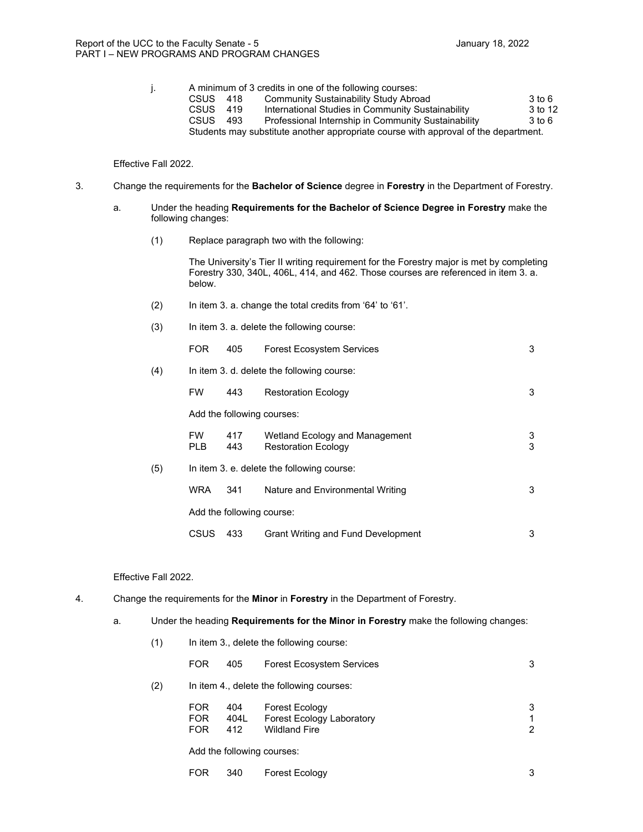j. A minimum of 3 credits in one of the following courses: CSUS 418 Community Sustainability Study Abroad 3to 6<br>CSUS 419 International Studies in Community Sustainability 3to 12 CSUS 419 International Studies in Community Sustainability 3 to 12<br>CSUS 493 Professional Internship in Community Sustainability 3 to 6 Professional Internship in Community Sustainability Students may substitute another appropriate course with approval of the department.

#### Effective Fall 2022.

- 3. Change the requirements for the **Bachelor of Science** degree in **Forestry** in the Department of Forestry.
	- a. Under the heading **Requirements for the Bachelor of Science Degree in Forestry** make the following changes:
		- (1) Replace paragraph two with the following:

The University's Tier II writing requirement for the Forestry major is met by completing Forestry 330, 340L, 406L, 414, and 462. Those courses are referenced in item 3. a. below.

- (2) In item 3. a. change the total credits from '64' to '61'.
- (3) In item 3. a. delete the following course:

|     | <b>FOR</b>       | 405                       | <b>Forest Ecosystem Services</b>                             | 3      |
|-----|------------------|---------------------------|--------------------------------------------------------------|--------|
| (4) |                  |                           | In item 3. d. delete the following course:                   |        |
|     | <b>FW</b>        | 443                       | <b>Restoration Ecology</b>                                   | 3      |
|     |                  |                           | Add the following courses:                                   |        |
|     | <b>FW</b><br>PLB | 417<br>443                | Wetland Ecology and Management<br><b>Restoration Ecology</b> | 3<br>3 |
| (5) |                  |                           | In item 3. e. delete the following course:                   |        |
|     | <b>WRA</b>       | 341                       | Nature and Environmental Writing                             | 3      |
|     |                  | Add the following course: |                                                              |        |
|     | <b>CSUS</b>      | 433                       | <b>Grant Writing and Fund Development</b>                    | 3      |

#### Effective Fall 2022.

- 4. Change the requirements for the **Minor** in **Forestry** in the Department of Forestry.
	- a. Under the heading **Requirements for the Minor in Forestry** make the following changes:

| (1) |            | In item 3., delete the following course: |                                           |  |  |  |  |  |
|-----|------------|------------------------------------------|-------------------------------------------|--|--|--|--|--|
|     | <b>FOR</b> | 405                                      | <b>Forest Ecosystem Services</b>          |  |  |  |  |  |
| (2) |            |                                          | In item 4., delete the following courses: |  |  |  |  |  |

|         | FOR 404 Forest Ecology             |  |
|---------|------------------------------------|--|
|         | FOR 404L Forest Ecology Laboratory |  |
| FOR 412 | Wildland Fire                      |  |

Add the following courses:

| <b>FOR</b> | - 340 | Forest Ecology |  |  |
|------------|-------|----------------|--|--|
|------------|-------|----------------|--|--|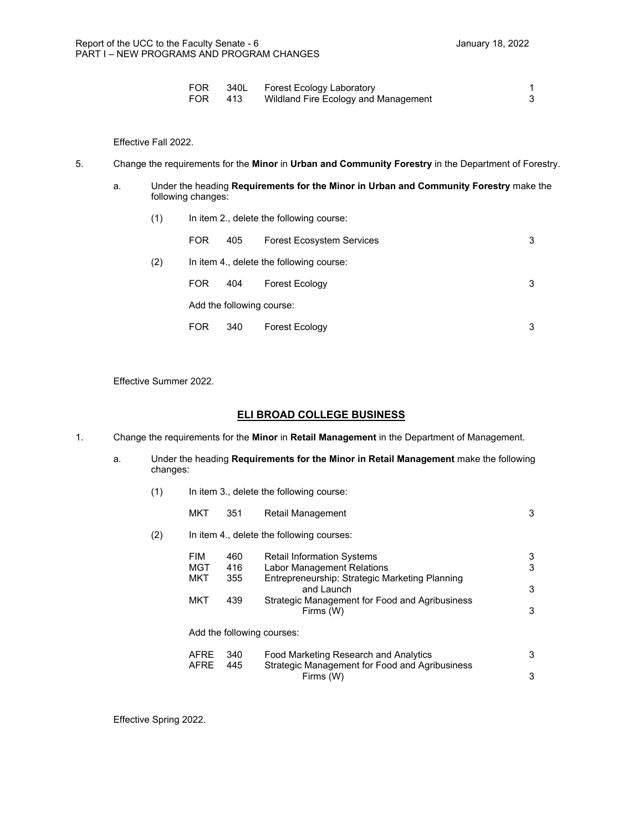| <b>FOR</b> | 340L Forest Ecology Laboratory           |  |
|------------|------------------------------------------|--|
| <b>FOR</b> | 413 Wildland Fire Ecology and Management |  |

Effective Fall 2022.

#### 5. Change the requirements for the **Minor** in **Urban and Community Forestry** in the Department of Forestry.

- a. Under the heading **Requirements for the Minor in Urban and Community Forestry** make the following changes:
	- (1) In item 2., delete the following course:

|     | FOR.       | 405                       | <b>Forest Ecosystem Services</b>         | 3 |
|-----|------------|---------------------------|------------------------------------------|---|
| (2) |            |                           | In item 4., delete the following course: |   |
|     | FOR.       | 404                       | <b>Forest Ecology</b>                    | 3 |
|     |            | Add the following course: |                                          |   |
|     | <b>FOR</b> | 340                       | Forest Ecology                           | 3 |

Effective Summer 2022.

#### **ELI BROAD COLLEGE BUSINESS**

- 1. Change the requirements for the **Minor** in **Retail Management** in the Department of Management.
	- a. Under the heading **Requirements for the Minor in Retail Management** make the following changes:
		- (1) In item 3., delete the following course:

|     | <b>MKT</b>  | 351 | Retail Management                                            | 3 |
|-----|-------------|-----|--------------------------------------------------------------|---|
| (2) |             |     | In item 4., delete the following courses:                    |   |
|     | FIM         | 460 | <b>Retail Information Systems</b>                            | 3 |
|     | <b>MGT</b>  | 416 | <b>Labor Management Relations</b>                            | 3 |
|     | <b>MKT</b>  | 355 | Entrepreneurship: Strategic Marketing Planning<br>and Launch | 3 |
|     | <b>MKT</b>  | 439 | Strategic Management for Food and Agribusiness<br>Firms (W)  | 3 |
|     |             |     | Add the following courses:                                   |   |
|     | AFRE        | 340 | Food Marketing Research and Analytics                        | 3 |
|     | <b>AFRE</b> | 445 | Strategic Management for Food and Agribusiness<br>Firms (W)  | 3 |

Effective Spring 2022.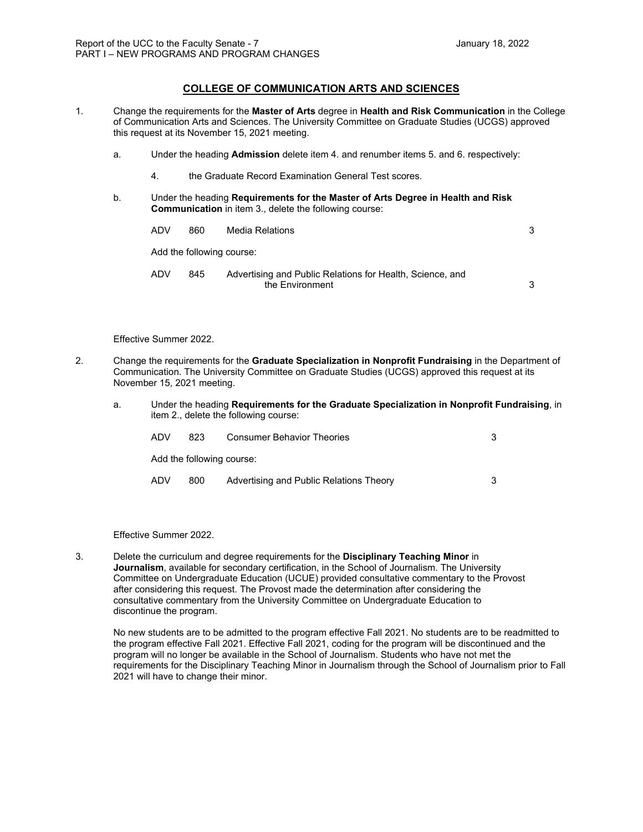1. Change the requirements for the **Master of Arts** degree in **Health and Risk Communication** in the College of Communication Arts and Sciences. The University Committee on Graduate Studies (UCGS) approved this request at its November 15, 2021 meeting.

**COLLEGE OF COMMUNICATION ARTS AND SCIENCES** 

- a. Under the heading **Admission** delete item 4. and renumber items 5. and 6. respectively:
	- 4. the Graduate Record Examination General Test scores.
- b. Under the heading **Requirements for the Master of Arts Degree in Health and Risk Communication** in item 3., delete the following course:

| ADV | 860                       | Media Relations                                                              |  |
|-----|---------------------------|------------------------------------------------------------------------------|--|
|     | Add the following course: |                                                                              |  |
| ADV | 845                       | Advertising and Public Relations for Health, Science, and<br>the Environment |  |

#### Effective Summer 2022.

- 2. Change the requirements for the **Graduate Specialization in Nonprofit Fundraising** in the Department of Communication. The University Committee on Graduate Studies (UCGS) approved this request at its November 15, 2021 meeting.
	- a. Under the heading **Requirements for the Graduate Specialization in Nonprofit Fundraising**, in item 2., delete the following course:

| ADV | 823                       | <b>Consumer Behavior Theories</b>       |  |
|-----|---------------------------|-----------------------------------------|--|
|     | Add the following course: |                                         |  |
| ADV | 800                       | Advertising and Public Relations Theory |  |

Effective Summer 2022.

3. Delete the curriculum and degree requirements for the **Disciplinary Teaching Minor** in **Journalism**, available for secondary certification, in the School of Journalism. The University Committee on Undergraduate Education (UCUE) provided consultative commentary to the Provost after considering this request. The Provost made the determination after considering the consultative commentary from the University Committee on Undergraduate Education to discontinue the program.

No new students are to be admitted to the program effective Fall 2021. No students are to be readmitted to the program effective Fall 2021. Effective Fall 2021, coding for the program will be discontinued and the program will no longer be available in the School of Journalism. Students who have not met the requirements for the Disciplinary Teaching Minor in Journalism through the School of Journalism prior to Fall 2021 will have to change their minor.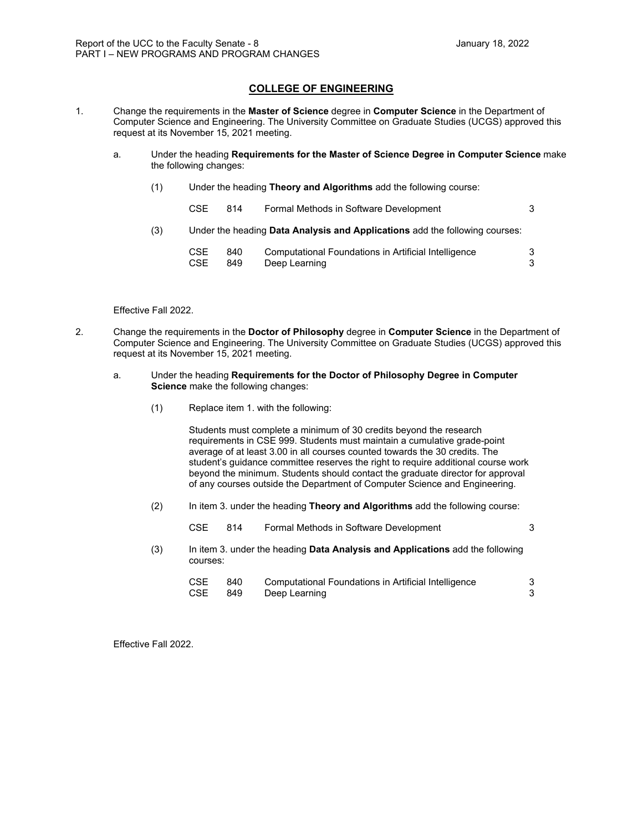### **COLLEGE OF ENGINEERING**

- 1. Change the requirements in the **Master of Science** degree in **Computer Science** in the Department of Computer Science and Engineering. The University Committee on Graduate Studies (UCGS) approved this request at its November 15, 2021 meeting.
	- a. Under the heading **Requirements for the Master of Science Degree in Computer Science** make the following changes:
		- (1) Under the heading **Theory and Algorithms** add the following course:
		- CSE 814 Formal Methods in Software Development 3 (3) Under the heading **Data Analysis and Applications** add the following courses:

| CSE. | 840   | Computational Foundations in Artificial Intelligence |  |
|------|-------|------------------------------------------------------|--|
| CSE  | - 849 | Deep Learning                                        |  |

#### Effective Fall 2022.

- 2. Change the requirements in the **Doctor of Philosophy** degree in **Computer Science** in the Department of Computer Science and Engineering. The University Committee on Graduate Studies (UCGS) approved this request at its November 15, 2021 meeting.
	- a. Under the heading **Requirements for the Doctor of Philosophy Degree in Computer Science** make the following changes:
		- (1) Replace item 1. with the following:

Students must complete a minimum of 30 credits beyond the research requirements in CSE 999. Students must maintain a cumulative grade-point average of at least 3.00 in all courses counted towards the 30 credits. The student's guidance committee reserves the right to require additional course work beyond the minimum. Students should contact the graduate director for approval of any courses outside the Department of Computer Science and Engineering.

(2) In item 3. under the heading **Theory and Algorithms** add the following course:

CSE 814 Formal Methods in Software Development 3 (3) In item 3. under the heading **Data Analysis and Applications** add the following courses: CSE 840 Computational Foundations in Artificial Intelligence 3 CSE 849 Deep Learning 3

Effective Fall 2022.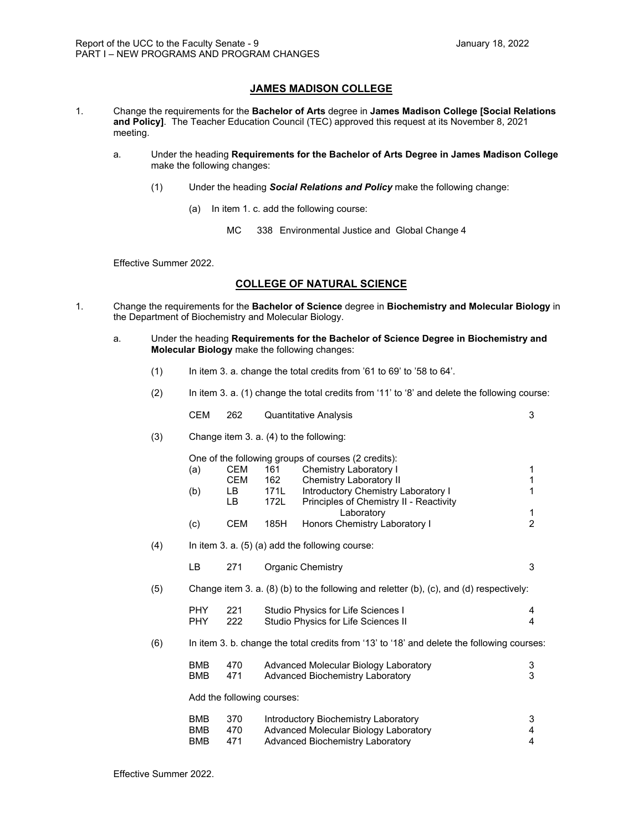### **JAMES MADISON COLLEGE**

- 1. Change the requirements for the **Bachelor of Arts** degree in **James Madison College [Social Relations and Policy]**. The Teacher Education Council (TEC) approved this request at its November 8, 2021 meeting.
	- a. Under the heading **Requirements for the Bachelor of Arts Degree in James Madison College**  make the following changes:
		- (1) Under the heading *Social Relations and Policy* make the following change:
			- (a) In item 1. c. add the following course:
				- MC 338 Environmental Justice and Global Change 4

Effective Summer 2022.

### **COLLEGE OF NATURAL SCIENCE**

- 1. Change the requirements for the **Bachelor of Science** degree in **Biochemistry and Molecular Biology** in the Department of Biochemistry and Molecular Biology.
	- a. Under the heading **Requirements for the Bachelor of Science Degree in Biochemistry and Molecular Biology** make the following changes:
		- (1) In item 3. a. change the total credits from '61 to 69' to '58 to 64'.
		- (2) In item 3. a. (1) change the total credits from '11' to '8' and delete the following course:

|     | <b>CEM</b>                             | 262                        |                    | <b>Quantitative Analysis</b>                                                                                      | 3                              |
|-----|----------------------------------------|----------------------------|--------------------|-------------------------------------------------------------------------------------------------------------------|--------------------------------|
| (3) |                                        |                            |                    | Change item 3. a. (4) to the following:                                                                           |                                |
|     | (a)                                    | CEM<br><b>CEM</b><br>LB    | 161<br>162<br>171L | One of the following groups of courses (2 credits):<br>Chemistry Laboratory I<br><b>Chemistry Laboratory II</b>   | 1<br>$\mathbf 1$<br>1          |
|     | (b)                                    | LB.                        | 172L               | Introductory Chemistry Laboratory I<br>Principles of Chemistry II - Reactivity                                    |                                |
|     | (c)                                    | <b>CEM</b>                 | 185H               | Laboratory<br>Honors Chemistry Laboratory I                                                                       | 1<br>$\overline{2}$            |
| (4) |                                        |                            |                    | In item 3. a. $(5)$ (a) add the following course:                                                                 |                                |
|     | <b>LB</b>                              | 271                        |                    | <b>Organic Chemistry</b>                                                                                          | 3                              |
| (5) |                                        |                            |                    | Change item 3. a. (8) (b) to the following and reletter (b), (c), and (d) respectively:                           |                                |
|     | <b>PHY</b><br><b>PHY</b>               | 221<br>222                 |                    | Studio Physics for Life Sciences I<br>Studio Physics for Life Sciences II                                         | 4<br>4                         |
| (6) |                                        |                            |                    | In item 3. b. change the total credits from '13' to '18' and delete the following courses:                        |                                |
|     | <b>BMB</b><br><b>BMB</b>               | 470<br>471                 |                    | Advanced Molecular Biology Laboratory<br>Advanced Biochemistry Laboratory                                         | $\ensuremath{\mathsf{3}}$<br>3 |
|     |                                        | Add the following courses: |                    |                                                                                                                   |                                |
|     | <b>BMB</b><br><b>BMB</b><br><b>BMB</b> | 370<br>470<br>471          |                    | Introductory Biochemistry Laboratory<br>Advanced Molecular Biology Laboratory<br>Advanced Biochemistry Laboratory | 3<br>4<br>4                    |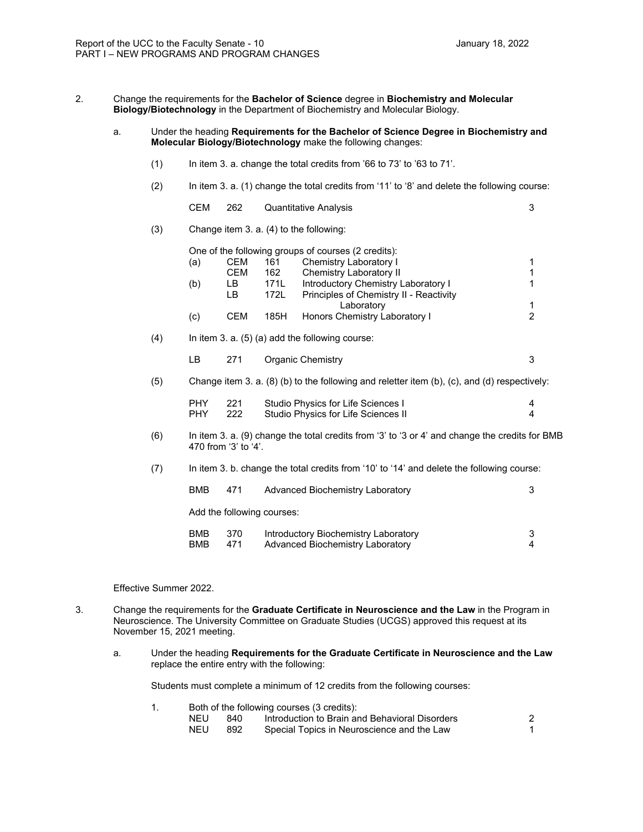- 2. Change the requirements for the **Bachelor of Science** degree in **Biochemistry and Molecular Biology/Biotechnology** in the Department of Biochemistry and Molecular Biology.
	- a. Under the heading **Requirements for the Bachelor of Science Degree in Biochemistry and Molecular Biology/Biotechnology** make the following changes:
		- (1) In item 3. a. change the total credits from '66 to 73' to '63 to 71'.
		- (2) In item 3. a. (1) change the total credits from '11' to '8' and delete the following course:
			- CEM 262 Quantitative Analysis 3
		- (3) Change item 3. a. (4) to the following:

One of the following groups of courses (2 credits): (a) CEM 161 Chemistry Laboratory I 1<br>CEM 162 Chemistry Laboratory II 1 CEM 162 Chemistry Laboratory II 1<br>
LB 171L Introductory Chemistry Laboratory I 1 (b) LB 171L Introductory Chemistry Laboratory I 1<br>LB 172L Principles of Chemistry II - Reactivity Principles of Chemistry II - Reactivity Laboratory 1 (c) CEM 185H Honors Chemistry Laboratory I 2

- $(4)$  In item 3. a.  $(5)$  (a) add the following course:
	- LB 271 Organic Chemistry 3
- (5) Change item 3. a. (8) (b) to the following and reletter item (b), (c), and (d) respectively:

| Studio Physics for Life Sciences I<br>PHY.<br>221<br>Studio Physics for Life Sciences II<br>PHY.<br>222 |  |
|---------------------------------------------------------------------------------------------------------|--|
|---------------------------------------------------------------------------------------------------------|--|

- (6) In item 3. a. (9) change the total credits from '3' to '3 or 4' and change the credits for BMB 470 from '3' to '4'.
- (7) In item 3. b. change the total credits from '10' to '14' and delete the following course:

| <b>BMB</b>               | 471        | Advanced Biochemistry Laboratory                                         |  |
|--------------------------|------------|--------------------------------------------------------------------------|--|
|                          |            | Add the following courses:                                               |  |
| <b>BMB</b><br><b>BMB</b> | 370<br>471 | Introductory Biochemistry Laboratory<br>Advanced Biochemistry Laboratory |  |

Effective Summer 2022.

- 3. Change the requirements for the **Graduate Certificate in Neuroscience and the Law** in the Program in Neuroscience. The University Committee on Graduate Studies (UCGS) approved this request at its November 15, 2021 meeting.
	- a. Under the heading **Requirements for the Graduate Certificate in Neuroscience and the Law** replace the entire entry with the following:

Students must complete a minimum of 12 credits from the following courses:

1. Both of the following courses (3 credits):

| NEU. | 840 | Introduction to Brain and Behavioral Disorders |  |
|------|-----|------------------------------------------------|--|
| NEU  | 892 | Special Topics in Neuroscience and the Law     |  |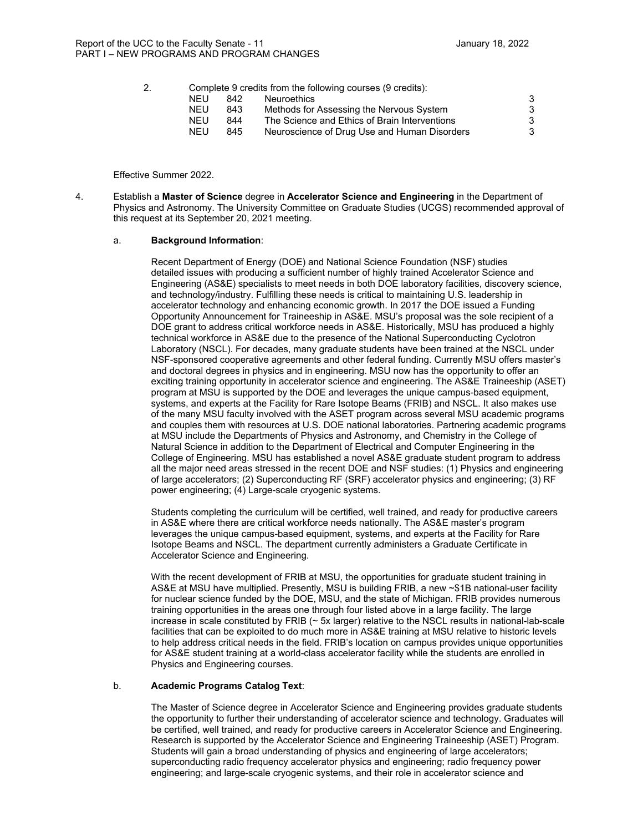|  |            |     | Complete 9 credits from the following courses (9 credits): |  |
|--|------------|-----|------------------------------------------------------------|--|
|  | NFU        | 842 | <b>Neuroethics</b>                                         |  |
|  | <b>NEU</b> | 843 | Methods for Assessing the Nervous System                   |  |
|  | NFU        | 844 | The Science and Ethics of Brain Interventions              |  |
|  | NFU        | 845 | Neuroscience of Drug Use and Human Disorders               |  |
|  |            |     |                                                            |  |

Effective Summer 2022.

4. Establish a **Master of Science** degree in **Accelerator Science and Engineering** in the Department of Physics and Astronomy. The University Committee on Graduate Studies (UCGS) recommended approval of this request at its September 20, 2021 meeting.

#### a. **Background Information**:

Recent Department of Energy (DOE) and National Science Foundation (NSF) studies detailed issues with producing a sufficient number of highly trained Accelerator Science and Engineering (AS&E) specialists to meet needs in both DOE laboratory facilities, discovery science, and technology/industry. Fulfilling these needs is critical to maintaining U.S. leadership in accelerator technology and enhancing economic growth. In 2017 the DOE issued a Funding Opportunity Announcement for Traineeship in AS&E. MSU's proposal was the sole recipient of a DOE grant to address critical workforce needs in AS&E. Historically, MSU has produced a highly technical workforce in AS&E due to the presence of the National Superconducting Cyclotron Laboratory (NSCL). For decades, many graduate students have been trained at the NSCL under NSF-sponsored cooperative agreements and other federal funding. Currently MSU offers master's and doctoral degrees in physics and in engineering. MSU now has the opportunity to offer an exciting training opportunity in accelerator science and engineering. The AS&E Traineeship (ASET) program at MSU is supported by the DOE and leverages the unique campus-based equipment, systems, and experts at the Facility for Rare Isotope Beams (FRIB) and NSCL. It also makes use of the many MSU faculty involved with the ASET program across several MSU academic programs and couples them with resources at U.S. DOE national laboratories. Partnering academic programs at MSU include the Departments of Physics and Astronomy, and Chemistry in the College of Natural Science in addition to the Department of Electrical and Computer Engineering in the College of Engineering. MSU has established a novel AS&E graduate student program to address all the major need areas stressed in the recent DOE and NSF studies: (1) Physics and engineering of large accelerators; (2) Superconducting RF (SRF) accelerator physics and engineering; (3) RF power engineering; (4) Large-scale cryogenic systems.

Students completing the curriculum will be certified, well trained, and ready for productive careers in AS&E where there are critical workforce needs nationally. The AS&E master's program leverages the unique campus-based equipment, systems, and experts at the Facility for Rare Isotope Beams and NSCL. The department currently administers a Graduate Certificate in Accelerator Science and Engineering.

With the recent development of FRIB at MSU, the opportunities for graduate student training in AS&E at MSU have multiplied. Presently, MSU is building FRIB, a new ~\$1B national-user facility for nuclear science funded by the DOE, MSU, and the state of Michigan. FRIB provides numerous training opportunities in the areas one through four listed above in a large facility. The large increase in scale constituted by FRIB (~ 5x larger) relative to the NSCL results in national-lab-scale facilities that can be exploited to do much more in AS&E training at MSU relative to historic levels to help address critical needs in the field. FRIB's location on campus provides unique opportunities for AS&E student training at a world-class accelerator facility while the students are enrolled in Physics and Engineering courses.

#### b. **Academic Programs Catalog Text**:

The Master of Science degree in Accelerator Science and Engineering provides graduate students the opportunity to further their understanding of accelerator science and technology. Graduates will be certified, well trained, and ready for productive careers in Accelerator Science and Engineering. Research is supported by the Accelerator Science and Engineering Traineeship (ASET) Program. Students will gain a broad understanding of physics and engineering of large accelerators; superconducting radio frequency accelerator physics and engineering; radio frequency power engineering; and large-scale cryogenic systems, and their role in accelerator science and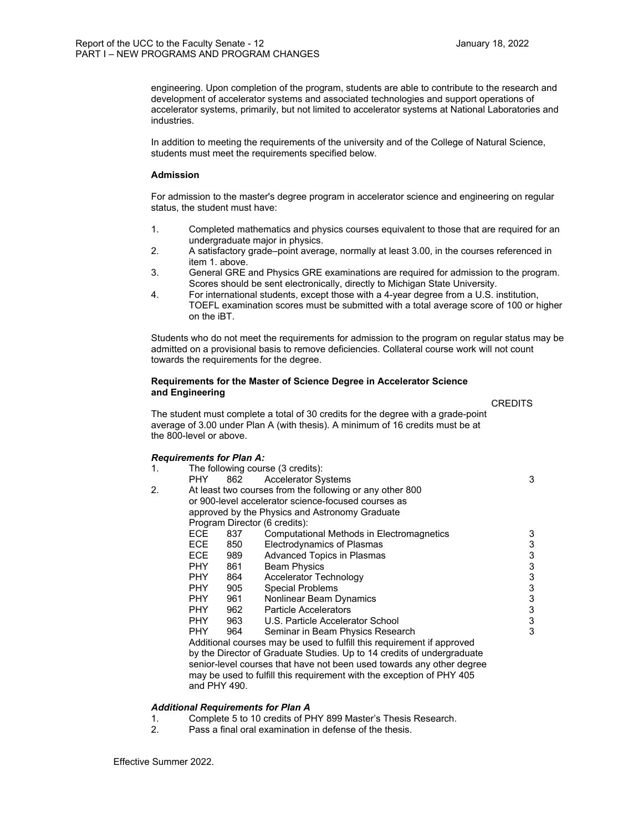engineering. Upon completion of the program, students are able to contribute to the research and development of accelerator systems and associated technologies and support operations of accelerator systems, primarily, but not limited to accelerator systems at National Laboratories and industries.

In addition to meeting the requirements of the university and of the College of Natural Science, students must meet the requirements specified below.

#### **Admission**

For admission to the master's degree program in accelerator science and engineering on regular status, the student must have:

- 1. Completed mathematics and physics courses equivalent to those that are required for an undergraduate major in physics.
- 2. A satisfactory grade–point average, normally at least 3.00, in the courses referenced in item 1. above.
- 3. General GRE and Physics GRE examinations are required for admission to the program. Scores should be sent electronically, directly to Michigan State University.
- 4. For international students, except those with a 4-year degree from a U.S. institution, TOEFL examination scores must be submitted with a total average score of 100 or higher on the iBT.

Students who do not meet the requirements for admission to the program on regular status may be admitted on a provisional basis to remove deficiencies. Collateral course work will not count towards the requirements for the degree.

#### **Requirements for the Master of Science Degree in Accelerator Science and Engineering**

**CREDITS CREDITS** 

 The student must complete a total of 30 credits for the degree with a grade-point average of 3.00 under Plan A (with thesis). A minimum of 16 credits must be at the 800-level or above.

#### *Requirements for Plan A:*

| $\mathbf 1$ . |      |     | The following course (3 credits):                                      |   |
|---------------|------|-----|------------------------------------------------------------------------|---|
|               | PHY. | 862 | <b>Accelerator Systems</b>                                             | 3 |
| 2.            |      |     | At least two courses from the following or any other 800               |   |
|               |      |     | or 900-level accelerator science-focused courses as                    |   |
|               |      |     | approved by the Physics and Astronomy Graduate                         |   |
|               |      |     | Program Director (6 credits):                                          |   |
|               | ECE. | 837 | <b>Computational Methods in Electromagnetics</b>                       | 3 |
|               | ECE. | 850 | Electrodynamics of Plasmas                                             | 3 |
|               | ECE. | 989 | Advanced Topics in Plasmas                                             | 3 |
|               | PHY. | 861 | <b>Beam Physics</b>                                                    | 3 |
|               | PHY. | 864 | Accelerator Technology                                                 | 3 |
|               | PHY. | 905 | <b>Special Problems</b>                                                | 3 |
|               | PHY. | 961 | Nonlinear Beam Dynamics                                                | 3 |
|               | PHY. | 962 | <b>Particle Accelerators</b>                                           | 3 |
|               | PHY. | 963 | U.S. Particle Accelerator School                                       | 3 |
|               | PHY. | 964 | Seminar in Beam Physics Research                                       | 3 |
|               |      |     | Additional courses may be used to fulfill this requirement if approved |   |
|               |      |     | by the Director of Graduate Studies. Up to 14 credits of undergraduate |   |
|               |      |     | senior-level courses that have not been used towards any other degree  |   |
|               |      |     | may be used to fulfill this requirement with the exception of PHY 405  |   |

#### *Additional Requirements for Plan A*

and PHY 490.

- 1. Complete 5 to 10 credits of PHY 899 Master's Thesis Research.<br>2. Pass a final oral examination in defense of the thesis.
- Pass a final oral examination in defense of the thesis.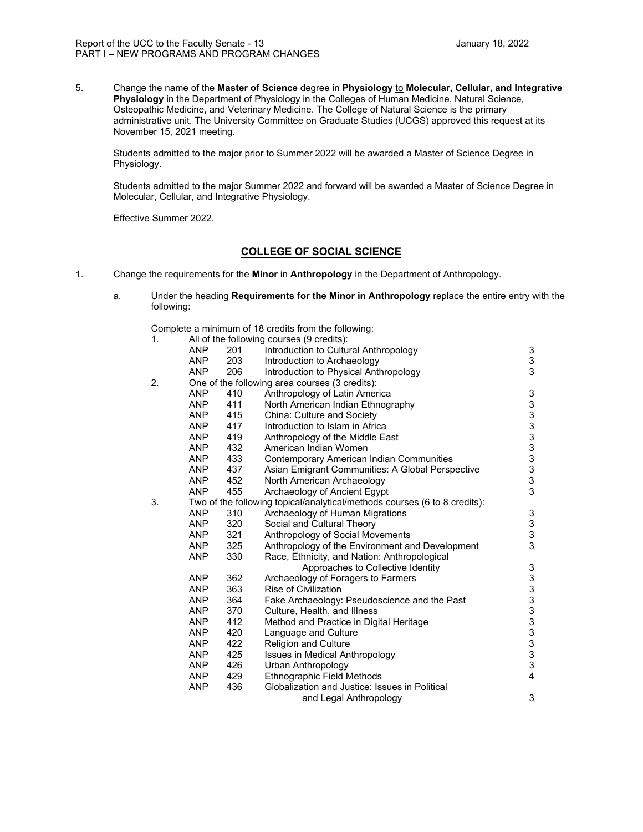5. Change the name of the **Master of Science** degree in **Physiology** to **Molecular, Cellular, and Integrative Physiology** in the Department of Physiology in the Colleges of Human Medicine, Natural Science, Osteopathic Medicine, and Veterinary Medicine. The College of Natural Science is the primary administrative unit. The University Committee on Graduate Studies (UCGS) approved this request at its November 15, 2021 meeting.

Students admitted to the major prior to Summer 2022 will be awarded a Master of Science Degree in Physiology.

Students admitted to the major Summer 2022 and forward will be awarded a Master of Science Degree in Molecular, Cellular, and Integrative Physiology.

Effective Summer 2022.

#### **COLLEGE OF SOCIAL SCIENCE**

- 1. Change the requirements for the **Minor** in **Anthropology** in the Department of Anthropology.
	- a. Under the heading **Requirements for the Minor in Anthropology** replace the entire entry with the following:

Complete a minimum of 18 credits from the following:

| 1. |            |     | All of the following courses (9 credits):                                 |                                       |
|----|------------|-----|---------------------------------------------------------------------------|---------------------------------------|
|    | <b>ANP</b> | 201 | Introduction to Cultural Anthropology                                     | 3                                     |
|    | <b>ANP</b> | 203 | Introduction to Archaeology                                               | $\frac{3}{3}$                         |
|    | <b>ANP</b> | 206 | Introduction to Physical Anthropology                                     |                                       |
| 2. |            |     | One of the following area courses (3 credits):                            |                                       |
|    | <b>ANP</b> | 410 | Anthropology of Latin America                                             | $\ensuremath{\mathsf{3}}$             |
|    | <b>ANP</b> | 411 | North American Indian Ethnography                                         |                                       |
|    | <b>ANP</b> | 415 | China: Culture and Society                                                | 33333333333                           |
|    | <b>ANP</b> | 417 | Introduction to Islam in Africa                                           |                                       |
|    | <b>ANP</b> | 419 | Anthropology of the Middle East                                           |                                       |
|    | <b>ANP</b> | 432 | American Indian Women                                                     |                                       |
|    | <b>ANP</b> | 433 | <b>Contemporary American Indian Communities</b>                           |                                       |
|    | <b>ANP</b> | 437 | Asian Emigrant Communities: A Global Perspective                          |                                       |
|    | <b>ANP</b> | 452 | North American Archaeology                                                |                                       |
|    | <b>ANP</b> | 455 | Archaeology of Ancient Egypt                                              |                                       |
| 3. |            |     | Two of the following topical/analytical/methods courses (6 to 8 credits): |                                       |
|    | ANP        | 310 | Archaeology of Human Migrations                                           | 3                                     |
|    | <b>ANP</b> | 320 | Social and Cultural Theory                                                |                                       |
|    | <b>ANP</b> | 321 | Anthropology of Social Movements                                          | $\begin{array}{c} 3 \\ 3 \end{array}$ |
|    | <b>ANP</b> | 325 | Anthropology of the Environment and Development                           |                                       |
|    | <b>ANP</b> | 330 | Race, Ethnicity, and Nation: Anthropological                              |                                       |
|    |            |     | Approaches to Collective Identity                                         | 3                                     |
|    | <b>ANP</b> | 362 | Archaeology of Foragers to Farmers                                        | 3333333333                            |
|    | <b>ANP</b> | 363 | <b>Rise of Civilization</b>                                               |                                       |
|    | <b>ANP</b> | 364 | Fake Archaeology: Pseudoscience and the Past                              |                                       |
|    | <b>ANP</b> | 370 | Culture, Health, and Illness                                              |                                       |
|    | <b>ANP</b> | 412 | Method and Practice in Digital Heritage                                   |                                       |
|    | <b>ANP</b> | 420 | Language and Culture                                                      |                                       |
|    | <b>ANP</b> | 422 | Religion and Culture                                                      |                                       |
|    | <b>ANP</b> | 425 | <b>Issues in Medical Anthropology</b>                                     |                                       |
|    | <b>ANP</b> | 426 | Urban Anthropology                                                        |                                       |
|    | <b>ANP</b> | 429 | Ethnographic Field Methods                                                | $\overline{4}$                        |
|    | <b>ANP</b> | 436 | Globalization and Justice: Issues in Political                            |                                       |
|    |            |     | and Legal Anthropology                                                    | 3                                     |
|    |            |     |                                                                           |                                       |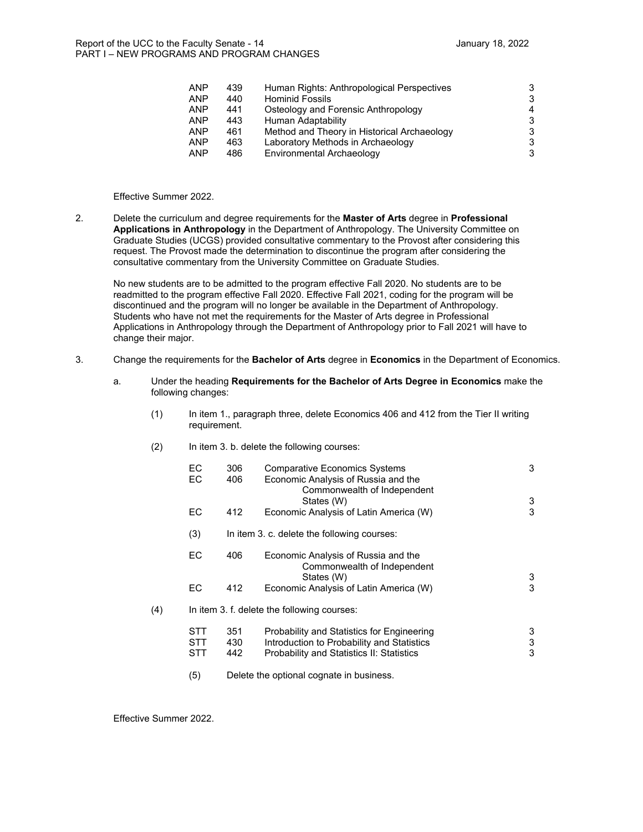| <b>ANP</b> | 439 | Human Rights: Anthropological Perspectives  |   |
|------------|-----|---------------------------------------------|---|
| <b>ANP</b> | 440 | <b>Hominid Fossils</b>                      |   |
| <b>ANP</b> | 441 | Osteology and Forensic Anthropology         | 4 |
| <b>ANP</b> | 443 | Human Adaptability                          | 3 |
| <b>ANP</b> | 461 | Method and Theory in Historical Archaeology |   |
| <b>ANP</b> | 463 | Laboratory Methods in Archaeology           |   |
| <b>ANP</b> | 486 | Environmental Archaeology                   | 3 |
|            |     |                                             |   |

#### Effective Summer 2022.

2. Delete the curriculum and degree requirements for the **Master of Arts** degree in **Professional Applications in Anthropology** in the Department of Anthropology. The University Committee on Graduate Studies (UCGS) provided consultative commentary to the Provost after considering this request. The Provost made the determination to discontinue the program after considering the consultative commentary from the University Committee on Graduate Studies.

No new students are to be admitted to the program effective Fall 2020. No students are to be readmitted to the program effective Fall 2020. Effective Fall 2021, coding for the program will be discontinued and the program will no longer be available in the Department of Anthropology. Students who have not met the requirements for the Master of Arts degree in Professional Applications in Anthropology through the Department of Anthropology prior to Fall 2021 will have to change their major.

- 3. Change the requirements for the **Bachelor of Arts** degree in **Economics** in the Department of Economics.
	- a. Under the heading **Requirements for the Bachelor of Arts Degree in Economics** make the following changes:
		- (1) In item 1., paragraph three, delete Economics 406 and 412 from the Tier II writing requirement.
		- (2) In item 3. b. delete the following courses:

|     | EC.<br>ЕC                | 306<br>406        | <b>Comparative Economics Systems</b><br>Economic Analysis of Russia and the<br>Commonwealth of Independent                            | 3           |
|-----|--------------------------|-------------------|---------------------------------------------------------------------------------------------------------------------------------------|-------------|
|     | EC.                      | 412               | States (W)<br>Economic Analysis of Latin America (W)                                                                                  | 3<br>3      |
|     | (3)                      |                   | In item 3. c. delete the following courses:                                                                                           |             |
|     | ЕC                       | 406               | Economic Analysis of Russia and the<br>Commonwealth of Independent<br>States (W)                                                      | 3           |
|     | ЕC                       | 412               | Economic Analysis of Latin America (W)                                                                                                | 3           |
| (4) |                          |                   | In item 3. f. delete the following courses:                                                                                           |             |
|     | STT<br><b>STT</b><br>STT | 351<br>430<br>442 | Probability and Statistics for Engineering<br>Introduction to Probability and Statistics<br>Probability and Statistics II: Statistics | 3<br>3<br>3 |
|     | (5)                      |                   | Delete the optional cognate in business.                                                                                              |             |

Effective Summer 2022.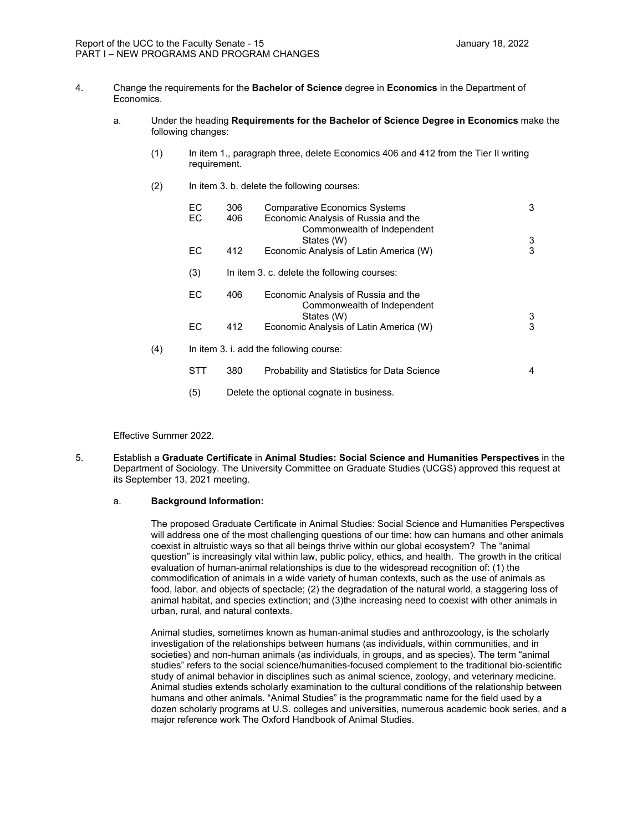- 4. Change the requirements for the **Bachelor of Science** degree in **Economics** in the Department of Economics.
	- a. Under the heading **Requirements for the Bachelor of Science Degree in Economics** make the following changes:
		- (1) In item 1., paragraph three, delete Economics 406 and 412 from the Tier II writing requirement.
		- (2) In item 3. b. delete the following courses:

|     | EC.<br>EC. | 306<br>406 | <b>Comparative Economics Systems</b><br>Economic Analysis of Russia and the<br>Commonwealth of Independent | 3 |
|-----|------------|------------|------------------------------------------------------------------------------------------------------------|---|
|     |            |            | States (W)                                                                                                 | 3 |
|     | EC.        | 412        | Economic Analysis of Latin America (W)                                                                     | 3 |
|     | (3)        |            | In item 3. c. delete the following courses:                                                                |   |
|     | EC.        | 406        | Economic Analysis of Russia and the<br>Commonwealth of Independent<br>States (W)                           | 3 |
|     | EC         | 412        | Economic Analysis of Latin America (W)                                                                     | 3 |
| (4) |            |            | In item 3. i. add the following course:                                                                    |   |
|     | STT        | 380        | Probability and Statistics for Data Science                                                                | 4 |

(5) Delete the optional cognate in business.

Effective Summer 2022.

5. Establish a **Graduate Certificate** in **Animal Studies: Social Science and Humanities Perspectives** in the Department of Sociology. The University Committee on Graduate Studies (UCGS) approved this request at its September 13, 2021 meeting.

#### a. **Background Information:**

The proposed Graduate Certificate in Animal Studies: Social Science and Humanities Perspectives will address one of the most challenging questions of our time: how can humans and other animals coexist in altruistic ways so that all beings thrive within our global ecosystem? The "animal question" is increasingly vital within law, public policy, ethics, and health. The growth in the critical evaluation of human-animal relationships is due to the widespread recognition of: (1) the commodification of animals in a wide variety of human contexts, such as the use of animals as food, labor, and objects of spectacle; (2) the degradation of the natural world, a staggering loss of animal habitat, and species extinction; and (3)the increasing need to coexist with other animals in urban, rural, and natural contexts.

Animal studies, sometimes known as human-animal studies and anthrozoology, is the scholarly investigation of the relationships between humans (as individuals, within communities, and in societies) and non-human animals (as individuals, in groups, and as species). The term "animal studies" refers to the social science/humanities-focused complement to the traditional bio-scientific study of animal behavior in disciplines such as animal science, zoology, and veterinary medicine. Animal studies extends scholarly examination to the cultural conditions of the relationship between humans and other animals. "Animal Studies" is the programmatic name for the field used by a dozen scholarly programs at U.S. colleges and universities, numerous academic book series, and a major reference work The Oxford Handbook of Animal Studies.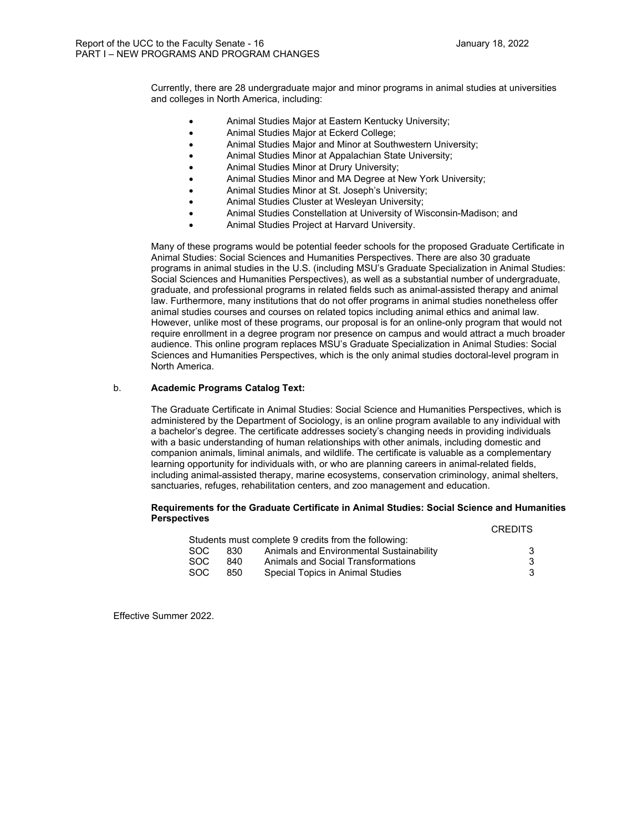Currently, there are 28 undergraduate major and minor programs in animal studies at universities and colleges in North America, including:

- Animal Studies Major at Eastern Kentucky University;
- Animal Studies Major at Eckerd College;
- Animal Studies Major and Minor at Southwestern University;
- Animal Studies Minor at Appalachian State University;
- Animal Studies Minor at Drury University;
- Animal Studies Minor and MA Degree at New York University;
- Animal Studies Minor at St. Joseph's University;
- Animal Studies Cluster at Wesleyan University;
- Animal Studies Constellation at University of Wisconsin-Madison; and
- Animal Studies Project at Harvard University.

Many of these programs would be potential feeder schools for the proposed Graduate Certificate in Animal Studies: Social Sciences and Humanities Perspectives. There are also 30 graduate programs in animal studies in the U.S. (including MSU's Graduate Specialization in Animal Studies: Social Sciences and Humanities Perspectives), as well as a substantial number of undergraduate, graduate, and professional programs in related fields such as animal-assisted therapy and animal law. Furthermore, many institutions that do not offer programs in animal studies nonetheless offer animal studies courses and courses on related topics including animal ethics and animal law. However, unlike most of these programs, our proposal is for an online-only program that would not require enrollment in a degree program nor presence on campus and would attract a much broader audience. This online program replaces MSU's Graduate Specialization in Animal Studies: Social Sciences and Humanities Perspectives, which is the only animal studies doctoral-level program in North America.

#### b. **Academic Programs Catalog Text:**

The Graduate Certificate in Animal Studies: Social Science and Humanities Perspectives, which is administered by the Department of Sociology, is an online program available to any individual with a bachelor's degree. The certificate addresses society's changing needs in providing individuals with a basic understanding of human relationships with other animals, including domestic and companion animals, liminal animals, and wildlife. The certificate is valuable as a complementary learning opportunity for individuals with, or who are planning careers in animal-related fields, including animal-assisted therapy, marine ecosystems, conservation criminology, animal shelters, sanctuaries, refuges, rehabilitation centers, and zoo management and education.

#### **Requirements for the Graduate Certificate in Animal Studies: Social Science and Humanities Perspectives**

|      |      |                                                      | <b>CREDITS</b> |
|------|------|------------------------------------------------------|----------------|
|      |      | Students must complete 9 credits from the following: |                |
| SOC. | 830  | Animals and Environmental Sustainability             |                |
| SOC. | 840. | Animals and Social Transformations                   |                |
| SOC. | 850  | Special Topics in Animal Studies                     |                |

Effective Summer 2022.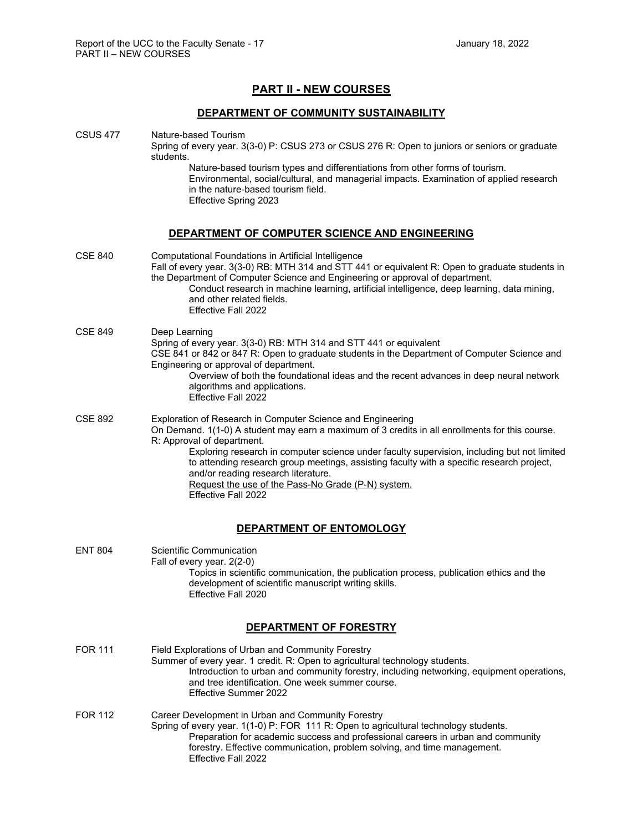# **PART II - NEW COURSES**

### **DEPARTMENT OF COMMUNITY SUSTAINABILITY**

#### CSUS 477 Nature-based Tourism Spring of every year. 3(3-0) P: CSUS 273 or CSUS 276 R: Open to juniors or seniors or graduate students. Nature-based tourism types and differentiations from other forms of tourism. Environmental, social/cultural, and managerial impacts. Examination of applied research in the nature-based tourism field.

Effective Spring 2023

Effective Fall 2022

# **DEPARTMENT OF COMPUTER SCIENCE AND ENGINEERING**

| <b>CSE 840</b> | Computational Foundations in Artificial Intelligence<br>Fall of every year. 3(3-0) RB: MTH 314 and STT 441 or equivalent R: Open to graduate students in<br>the Department of Computer Science and Engineering or approval of department.<br>Conduct research in machine learning, artificial intelligence, deep learning, data mining,<br>and other related fields.<br><b>Effective Fall 2022</b>                                                                                                           |
|----------------|--------------------------------------------------------------------------------------------------------------------------------------------------------------------------------------------------------------------------------------------------------------------------------------------------------------------------------------------------------------------------------------------------------------------------------------------------------------------------------------------------------------|
| <b>CSE 849</b> | Deep Learning<br>Spring of every year. 3(3-0) RB: MTH 314 and STT 441 or equivalent<br>CSE 841 or 842 or 847 R: Open to graduate students in the Department of Computer Science and<br>Engineering or approval of department.<br>Overview of both the foundational ideas and the recent advances in deep neural network<br>algorithms and applications.<br>Effective Fall 2022                                                                                                                               |
| <b>CSE 892</b> | Exploration of Research in Computer Science and Engineering<br>On Demand. 1(1-0) A student may earn a maximum of 3 credits in all enrollments for this course.<br>R: Approval of department.<br>Exploring research in computer science under faculty supervision, including but not limited<br>to attending research group meetings, assisting faculty with a specific research project,<br>and/or reading research literature.<br>Request the use of the Pass-No Grade (P-N) system.<br>Fffective Fall 2022 |
|                | DEPARTMENT OF ENTOMOLOGY                                                                                                                                                                                                                                                                                                                                                                                                                                                                                     |
| <b>ENT 804</b> | <b>Scientific Communication</b><br>Fall of every year. 2(2-0)<br>Topics in scientific communication, the publication process, publication ethics and the<br>development of scientific manuscript writing skills.<br><b>Effective Fall 2020</b>                                                                                                                                                                                                                                                               |
|                | DEPARTMENT OF FORESTRY                                                                                                                                                                                                                                                                                                                                                                                                                                                                                       |
| <b>FOR 111</b> | Field Explorations of Urban and Community Forestry<br>Summer of every year. 1 credit. R: Open to agricultural technology students.<br>Introduction to urban and community forestry, including networking, equipment operations,<br>and tree identification. One week summer course.<br>Effective Summer 2022                                                                                                                                                                                                 |
| <b>FOR 112</b> | Career Development in Urban and Community Forestry<br>Spring of every year. 1(1-0) P: FOR 111 R: Open to agricultural technology students.<br>Preparation for academic success and professional careers in urban and community<br>forestry. Effective communication, problem solving, and time management.                                                                                                                                                                                                   |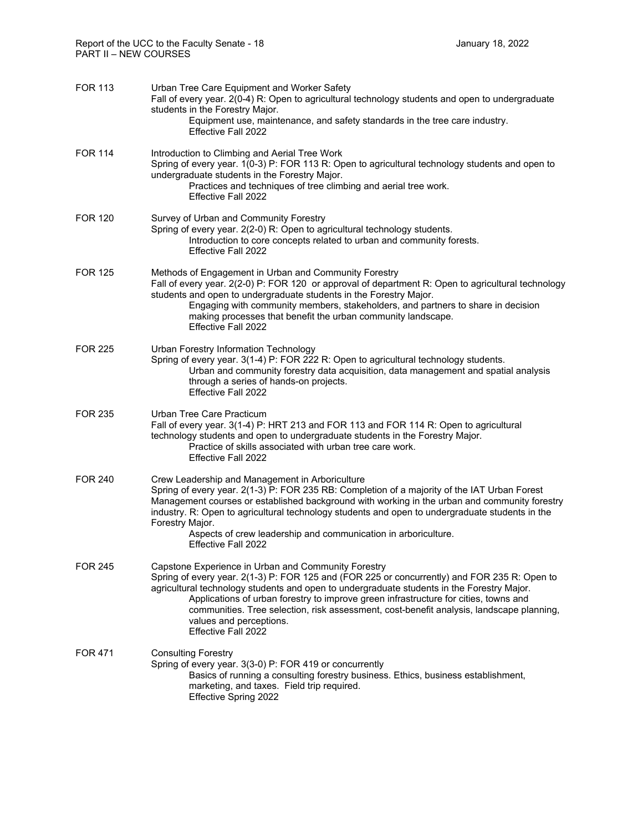| <b>FOR 113</b> | Urban Tree Care Equipment and Worker Safety<br>Fall of every year. 2(0-4) R: Open to agricultural technology students and open to undergraduate<br>students in the Forestry Major.<br>Equipment use, maintenance, and safety standards in the tree care industry.<br><b>Effective Fall 2022</b>                                                                                                                                                                                                |
|----------------|------------------------------------------------------------------------------------------------------------------------------------------------------------------------------------------------------------------------------------------------------------------------------------------------------------------------------------------------------------------------------------------------------------------------------------------------------------------------------------------------|
| <b>FOR 114</b> | Introduction to Climbing and Aerial Tree Work<br>Spring of every year. 1(0-3) P: FOR 113 R: Open to agricultural technology students and open to<br>undergraduate students in the Forestry Major.<br>Practices and techniques of tree climbing and aerial tree work.<br>Effective Fall 2022                                                                                                                                                                                                    |
| <b>FOR 120</b> | Survey of Urban and Community Forestry<br>Spring of every year. 2(2-0) R: Open to agricultural technology students.<br>Introduction to core concepts related to urban and community forests.<br><b>Effective Fall 2022</b>                                                                                                                                                                                                                                                                     |
| <b>FOR 125</b> | Methods of Engagement in Urban and Community Forestry<br>Fall of every year. 2(2-0) P: FOR 120 or approval of department R: Open to agricultural technology<br>students and open to undergraduate students in the Forestry Major.<br>Engaging with community members, stakeholders, and partners to share in decision<br>making processes that benefit the urban community landscape.<br><b>Effective Fall 2022</b>                                                                            |
| <b>FOR 225</b> | Urban Forestry Information Technology<br>Spring of every year. 3(1-4) P: FOR 222 R: Open to agricultural technology students.<br>Urban and community forestry data acquisition, data management and spatial analysis<br>through a series of hands-on projects.<br>Effective Fall 2022                                                                                                                                                                                                          |
| FOR 235        | Urban Tree Care Practicum<br>Fall of every year. 3(1-4) P: HRT 213 and FOR 113 and FOR 114 R: Open to agricultural<br>technology students and open to undergraduate students in the Forestry Major.<br>Practice of skills associated with urban tree care work.<br>Effective Fall 2022                                                                                                                                                                                                         |
| <b>FOR 240</b> | Crew Leadership and Management in Arboriculture<br>Spring of every year. 2(1-3) P: FOR 235 RB: Completion of a majority of the IAT Urban Forest<br>Management courses or established background with working in the urban and community forestry<br>industry. R: Open to agricultural technology students and open to undergraduate students in the<br>Forestry Major.<br>Aspects of crew leadership and communication in arboriculture.<br>Effective Fall 2022                                |
| FOR 245        | Capstone Experience in Urban and Community Forestry<br>Spring of every year. 2(1-3) P: FOR 125 and (FOR 225 or concurrently) and FOR 235 R: Open to<br>agricultural technology students and open to undergraduate students in the Forestry Major.<br>Applications of urban forestry to improve green infrastructure for cities, towns and<br>communities. Tree selection, risk assessment, cost-benefit analysis, landscape planning,<br>values and perceptions.<br><b>Effective Fall 2022</b> |
| FOR 471        | <b>Consulting Forestry</b><br>Spring of every year. 3(3-0) P: FOR 419 or concurrently<br>Basics of running a consulting forestry business. Ethics, business establishment,<br>marketing, and taxes. Field trip required.<br>Effective Spring 2022                                                                                                                                                                                                                                              |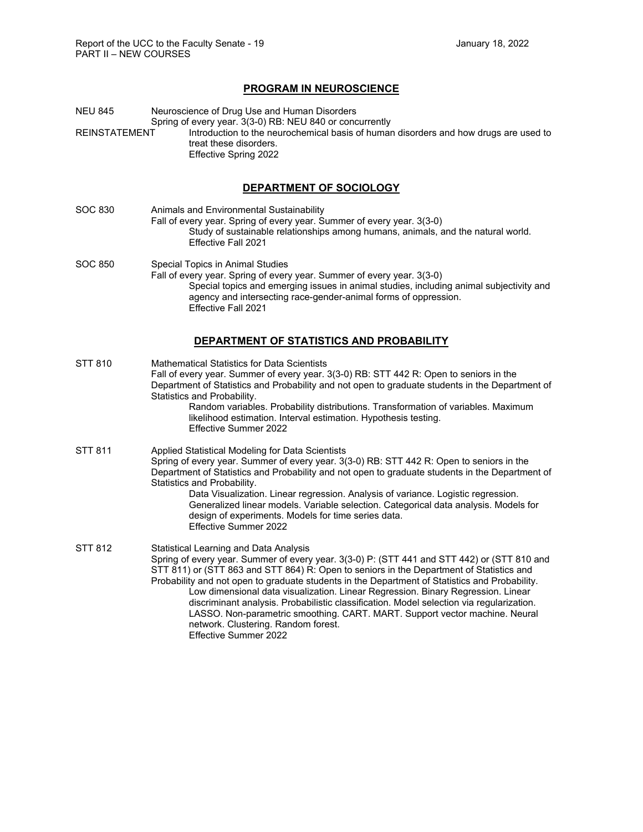# **PROGRAM IN NEUROSCIENCE**

| NEU 845<br>REINSTATEMENT | Neuroscience of Drug Use and Human Disorders<br>Spring of every year. 3(3-0) RB: NEU 840 or concurrently<br>Introduction to the neurochemical basis of human disorders and how drugs are used to<br>treat these disorders.<br>Effective Spring 2022                                                                                                                                                                                                                                                                                                                                                                                                                |
|--------------------------|--------------------------------------------------------------------------------------------------------------------------------------------------------------------------------------------------------------------------------------------------------------------------------------------------------------------------------------------------------------------------------------------------------------------------------------------------------------------------------------------------------------------------------------------------------------------------------------------------------------------------------------------------------------------|
|                          | DEPARTMENT OF SOCIOLOGY                                                                                                                                                                                                                                                                                                                                                                                                                                                                                                                                                                                                                                            |
| SOC 830                  | Animals and Environmental Sustainability<br>Fall of every year. Spring of every year. Summer of every year. 3(3-0)<br>Study of sustainable relationships among humans, animals, and the natural world.<br>Effective Fall 2021                                                                                                                                                                                                                                                                                                                                                                                                                                      |
| SOC 850                  | Special Topics in Animal Studies<br>Fall of every year. Spring of every year. Summer of every year. 3(3-0)<br>Special topics and emerging issues in animal studies, including animal subjectivity and<br>agency and intersecting race-gender-animal forms of oppression.<br>Effective Fall 2021                                                                                                                                                                                                                                                                                                                                                                    |
|                          | DEPARTMENT OF STATISTICS AND PROBABILITY                                                                                                                                                                                                                                                                                                                                                                                                                                                                                                                                                                                                                           |
| STT 810                  | <b>Mathematical Statistics for Data Scientists</b><br>Fall of every year. Summer of every year. 3(3-0) RB: STT 442 R: Open to seniors in the<br>Department of Statistics and Probability and not open to graduate students in the Department of<br>Statistics and Probability.<br>Random variables. Probability distributions. Transformation of variables. Maximum<br>likelihood estimation. Interval estimation. Hypothesis testing.<br>Effective Summer 2022                                                                                                                                                                                                    |
| STT 811                  | Applied Statistical Modeling for Data Scientists<br>Spring of every year. Summer of every year. 3(3-0) RB: STT 442 R: Open to seniors in the<br>Department of Statistics and Probability and not open to graduate students in the Department of<br>Statistics and Probability.<br>Data Visualization. Linear regression. Analysis of variance. Logistic regression.<br>Generalized linear models. Variable selection. Categorical data analysis. Models for<br>design of experiments. Models for time series data.<br>Effective Summer 2022                                                                                                                        |
| STT 812                  | Statistical Learning and Data Analysis<br>Spring of every year. Summer of every year. 3(3-0) P: (STT 441 and STT 442) or (STT 810 and<br>STT 811) or (STT 863 and STT 864) R: Open to seniors in the Department of Statistics and<br>Probability and not open to graduate students in the Department of Statistics and Probability.<br>Low dimensional data visualization. Linear Regression. Binary Regression. Linear<br>discriminant analysis. Probabilistic classification. Model selection via regularization.<br>LASSO. Non-parametric smoothing. CART. MART. Support vector machine. Neural<br>network. Clustering. Random forest.<br>Effective Summer 2022 |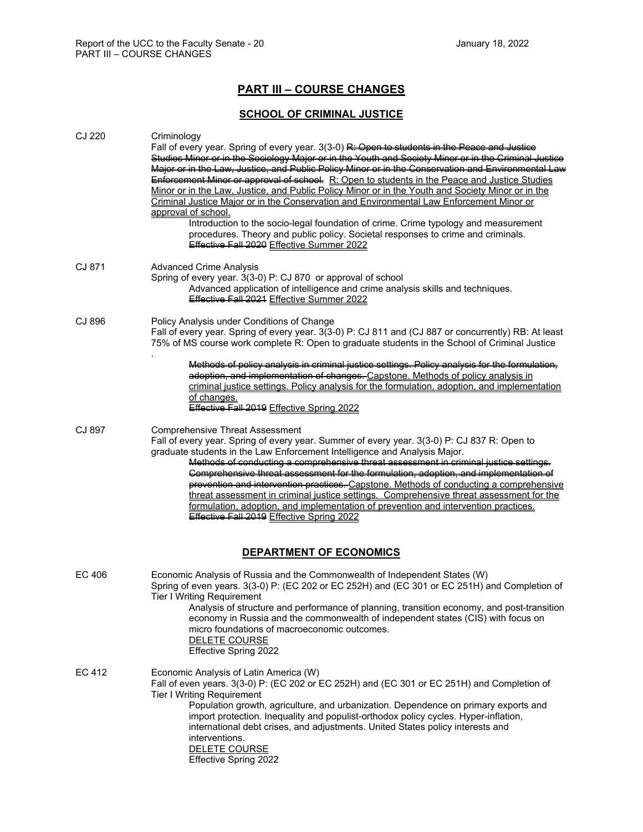# **PART III – COURSE CHANGES**

# **SCHOOL OF CRIMINAL JUSTICE**

| CJ 220 | Criminology<br>Fall of every year. Spring of every year. 3(3-0) R: Open to students in the Peace and Justice<br>Studies Miner or in the Seciology Major or in the Youth and Seciety Miner or in the Criminal Juctice<br>Major or in the Law, Justice, and Public Policy Minor or in the Conservation and Environmental Law<br>Enforcomont Minor or approval of cohool. R: Open to students in the Peace and Justice Studies<br>Minor or in the Law, Justice, and Public Policy Minor or in the Youth and Society Minor or in the<br>Criminal Justice Major or in the Conservation and Environmental Law Enforcement Minor or<br>approval of school.<br>Introduction to the socio-legal foundation of crime. Crime typology and measurement<br>procedures. Theory and public policy. Societal responses to crime and criminals.<br>Effective Fall 2020 Effective Summer 2022 |
|--------|-----------------------------------------------------------------------------------------------------------------------------------------------------------------------------------------------------------------------------------------------------------------------------------------------------------------------------------------------------------------------------------------------------------------------------------------------------------------------------------------------------------------------------------------------------------------------------------------------------------------------------------------------------------------------------------------------------------------------------------------------------------------------------------------------------------------------------------------------------------------------------|
| CJ 871 | <b>Advanced Crime Analysis</b><br>Spring of every year. 3(3-0) P: CJ 870 or approval of school<br>Advanced application of intelligence and crime analysis skills and techniques.<br>Effective Fall 2021 Effective Summer 2022                                                                                                                                                                                                                                                                                                                                                                                                                                                                                                                                                                                                                                               |
| CJ 896 | Policy Analysis under Conditions of Change<br>Fall of every year. Spring of every year. 3(3-0) P: CJ 811 and (CJ 887 or concurrently) RB: At least<br>75% of MS course work complete R: Open to graduate students in the School of Criminal Justice<br>Methods of policy analysis in criminal justice settings. Policy analysis for the formulation,<br>adoption, and implementation of changes. Capstone, Methods of policy analysis in<br>criminal justice settings. Policy analysis for the formulation, adoption, and implementation<br>of changes.<br>Effective Fall 2019 Effective Spring 2022                                                                                                                                                                                                                                                                        |
| CJ 897 | <b>Comprehensive Threat Assessment</b><br>Fall of every year. Spring of every year. Summer of every year. 3(3-0) P: CJ 837 R: Open to<br>graduate students in the Law Enforcement Intelligence and Analysis Major.<br>Mothode of conducting a comprohoncive throat accoccmont in criminal juctice cottinge.<br>Comprehensive threat assessment for the formulation, adoption, and implementation of<br>provention and intervention practices. Capstone. Methods of conducting a comprehensive<br>threat assessment in criminal justice settings. Comprehensive threat assessment for the<br>formulation, adoption, and implementation of prevention and intervention practices.<br>Effective Fall 2019 Effective Spring 2022                                                                                                                                                |
|        | <b>DEPARTMENT OF ECONOMICS</b>                                                                                                                                                                                                                                                                                                                                                                                                                                                                                                                                                                                                                                                                                                                                                                                                                                              |
| EC 406 | Economic Analysis of Russia and the Commonwealth of Independent States (W)<br>Spring of even years. 3(3-0) P: (EC 202 or EC 252H) and (EC 301 or EC 251H) and Completion of<br><b>Tier I Writing Requirement</b><br>Analysis of structure and performance of planning, transition economy, and post-transition<br>economy in Russia and the commonwealth of independent states (CIS) with focus on<br>micro foundations of macroeconomic outcomes.<br>DELETE COURSE<br>Effective Spring 2022                                                                                                                                                                                                                                                                                                                                                                                |
| EC 412 | Economic Analysis of Latin America (W)<br>Fall of even years. 3(3-0) P: (EC 202 or EC 252H) and (EC 301 or EC 251H) and Completion of<br><b>Tier I Writing Requirement</b><br>Population growth, agriculture, and urbanization. Dependence on primary exports and<br>import protection. Inequality and populist-orthodox policy cycles. Hyper-inflation,<br>international debt crises, and adjustments. United States policy interests and<br>interventions.<br>DELETE COURSE<br>Effective Spring 2022                                                                                                                                                                                                                                                                                                                                                                      |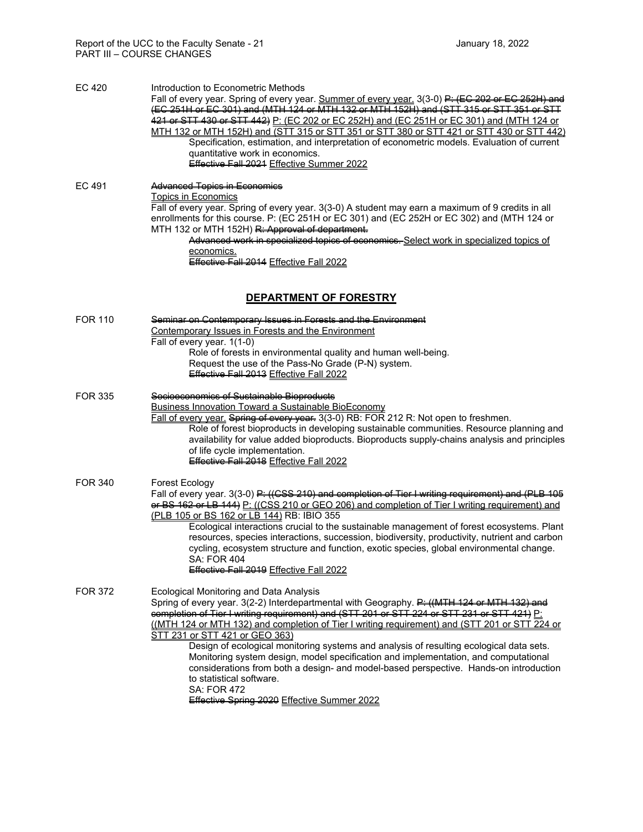| <b>EC 420</b>  | Introduction to Econometric Methods<br>Fall of every year. Spring of every year. Summer of every year. 3(3-0) P: (EC 202 or EC 252H)<br>(EC 261H or EC 301) and (MTH 124 or MTH 132 or MTH 152H) and (STT 315 or STT 361 or STT<br>421 or STT 430 or STT 442) P: (EC 202 or EC 252H) and (EC 251H or EC 301) and (MTH 124 or<br>MTH 132 or MTH 152H) and (STT 315 or STT 351 or STT 380 or STT 421 or STT 430 or STT 442)<br>Specification, estimation, and interpretation of econometric models. Evaluation of current<br>quantitative work in economics.<br>Effective Fall 2024 Effective Summer 2022                                                                                                                                                      |
|----------------|--------------------------------------------------------------------------------------------------------------------------------------------------------------------------------------------------------------------------------------------------------------------------------------------------------------------------------------------------------------------------------------------------------------------------------------------------------------------------------------------------------------------------------------------------------------------------------------------------------------------------------------------------------------------------------------------------------------------------------------------------------------|
| EC 491         | Advanced Topics in Economics<br><b>Topics in Economics</b><br>Fall of every year. Spring of every year. 3(3-0) A student may earn a maximum of 9 credits in all<br>enrollments for this course. P: (EC 251H or EC 301) and (EC 252H or EC 302) and (MTH 124 or<br>MTH 132 or MTH 152H) R: Approval of dopartmont.<br>Advanced work in specialized topics of economics. Select work in specialized topics of<br>economics.<br>Effective Fall 2014 Effective Fall 2022<br>DEPARTMENT OF FORESTRY                                                                                                                                                                                                                                                               |
|                |                                                                                                                                                                                                                                                                                                                                                                                                                                                                                                                                                                                                                                                                                                                                                              |
| <b>FOR 110</b> | Seminar on Contemperary Iccuce in Forects and the Environment<br><b>Contemporary Issues in Forests and the Environment</b><br>Fall of every year. 1(1-0)<br>Role of forests in environmental quality and human well-being.<br>Request the use of the Pass-No Grade (P-N) system.<br>Effective Fall 2013 Effective Fall 2022                                                                                                                                                                                                                                                                                                                                                                                                                                  |
| <b>FOR 335</b> | Secioeconomics of Suctainable Bioproducts<br><b>Business Innovation Toward a Sustainable BioEconomy</b><br>Fall of every year. Spring of every year. 3(3-0) RB: FOR 212 R: Not open to freshmen.<br>Role of forest bioproducts in developing sustainable communities. Resource planning and<br>availability for value added bioproducts. Bioproducts supply-chains analysis and principles<br>of life cycle implementation.<br>Effective Fall 2018 Effective Fall 2022                                                                                                                                                                                                                                                                                       |
| <b>FOR 340</b> | Forest Ecology<br>Fall of every year. 3(3-0) P: ((CSS 210) and completion of Tier I writing requirement) and (PLB 105<br>er BS 162 or LB 144) P: ((CSS 210 or GEO 206) and completion of Tier I writing requirement) and<br>(PLB 105 or BS 162 or LB 144) RB: IBIO 355<br>Ecological interactions crucial to the sustainable management of forest ecosystems. Plant<br>resources, species interactions, succession, biodiversity, productivity, nutrient and carbon<br>cycling, ecosystem structure and function, exotic species, global environmental change.<br><b>SA: FOR 404</b><br>Effective Fall 2019 Effective Fall 2022                                                                                                                              |
| <b>FOR 372</b> | <b>Ecological Monitoring and Data Analysis</b><br>Spring of every year. 3(2-2) Interdepartmental with Geography. P: ((MTH 124 or MTH 132) and<br>eemplotion of Tior I writing requirement) and (STT 201 or STT 224 or STT 231 or STT 421) P:<br>((MTH 124 or MTH 132) and completion of Tier I writing requirement) and (STT 201 or STT 224 or<br>STT 231 or STT 421 or GEO 363)<br>Design of ecological monitoring systems and analysis of resulting ecological data sets.<br>Monitoring system design, model specification and implementation, and computational<br>considerations from both a design- and model-based perspective. Hands-on introduction<br>to statistical software.<br><b>SA: FOR 472</b><br>Effective Spring 2020 Effective Summer 2022 |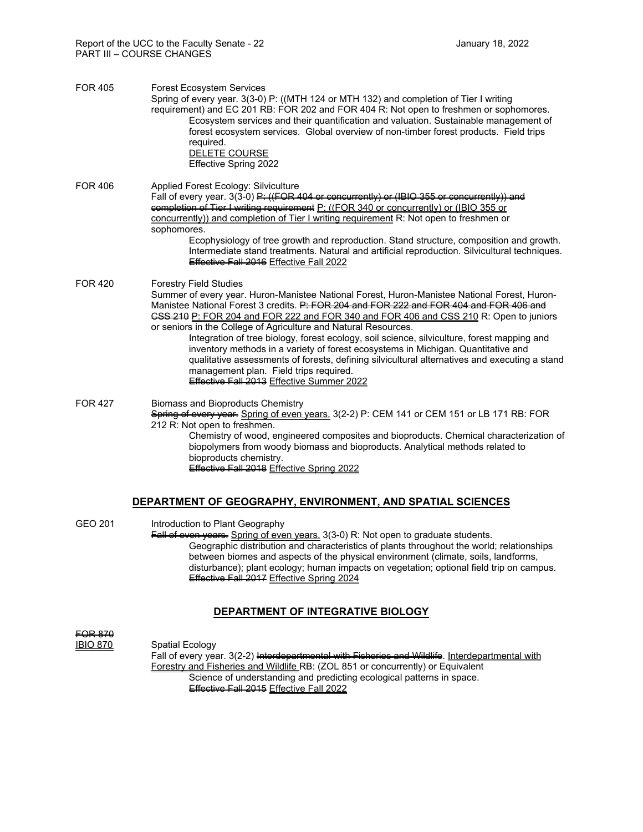| <b>FOR 405</b> | <b>Forest Ecosystem Services</b><br>Spring of every year. 3(3-0) P: ((MTH 124 or MTH 132) and completion of Tier I writing<br>requirement) and EC 201 RB: FOR 202 and FOR 404 R: Not open to freshmen or sophomores.<br>Ecosystem services and their quantification and valuation. Sustainable management of<br>forest ecosystem services. Global overview of non-timber forest products. Field trips<br>required.<br>DELETE COURSE<br>Effective Spring 2022                                                                                                                                                                                                                                                                                                    |
|----------------|-----------------------------------------------------------------------------------------------------------------------------------------------------------------------------------------------------------------------------------------------------------------------------------------------------------------------------------------------------------------------------------------------------------------------------------------------------------------------------------------------------------------------------------------------------------------------------------------------------------------------------------------------------------------------------------------------------------------------------------------------------------------|
| <b>FOR 406</b> | Applied Forest Ecology: Silviculture<br>Fall of every year. 3(3-0) P: ((FOR 404 or concurrontly) or (IBIO 355 or concurrontly)) and<br>completion of Tior I writing requirement P: ((FOR 340 or concurrently) or (IBIO 355 or<br>concurrently)) and completion of Tier I writing requirement R: Not open to freshmen or<br>sophomores.<br>Ecophysiology of tree growth and reproduction. Stand structure, composition and growth.<br>Intermediate stand treatments. Natural and artificial reproduction. Silvicultural techniques.<br>Effective Fall 2016 Effective Fall 2022                                                                                                                                                                                   |
| <b>FOR 420</b> | <b>Forestry Field Studies</b><br>Summer of every year. Huron-Manistee National Forest, Huron-Manistee National Forest, Huron-<br>Manistee National Forest 3 credits. P: FOR 204 and FOR 222 and FOR 404 and FOR 406 and<br>GSS 210 P: FOR 204 and FOR 222 and FOR 340 and FOR 406 and CSS 210 R: Open to juniors<br>or seniors in the College of Agriculture and Natural Resources.<br>Integration of tree biology, forest ecology, soil science, silviculture, forest mapping and<br>inventory methods in a variety of forest ecosystems in Michigan. Quantitative and<br>qualitative assessments of forests, defining silvicultural alternatives and executing a stand<br>management plan. Field trips required.<br>Effective Fall 2013 Effective Summer 2022 |
| <b>FOR 427</b> | <b>Biomass and Bioproducts Chemistry</b><br>Spring of overy year. Spring of even years. 3(2-2) P: CEM 141 or CEM 151 or LB 171 RB: FOR<br>212 R: Not open to freshmen.<br>Chemistry of wood, engineered composites and bioproducts. Chemical characterization of<br>biopolymers from woody biomass and bioproducts. Analytical methods related to<br>bioproducts chemistry.<br>Effective Fall 2018 Effective Spring 2022                                                                                                                                                                                                                                                                                                                                        |
|                | DEPARTMENT OF GEOGRAPHY, ENVIRONMENT, AND SPATIAL SCIENCES                                                                                                                                                                                                                                                                                                                                                                                                                                                                                                                                                                                                                                                                                                      |

GEO 201 Introduction to Plant Geography Fall of even years. Spring of even years. 3(3-0) R: Not open to graduate students. Geographic distribution and characteristics of plants throughout the world; relationships between biomes and aspects of the physical environment (climate, soils, landforms, disturbance); plant ecology; human impacts on vegetation; optional field trip on campus. Effective Fall 2017 Effective Spring 2024

# **DEPARTMENT OF INTEGRATIVE BIOLOGY**

**FOR 870<br>IBIO 870** Spatial Ecology Fall of every year. 3(2-2) Interdepartmental with Fisheries and Wildlife. Interdepartmental with Forestry and Fisheries and Wildlife RB: (ZOL 851 or concurrently) or Equivalent Science of understanding and predicting ecological patterns in space. Effective Fall 2015 Effective Fall 2022